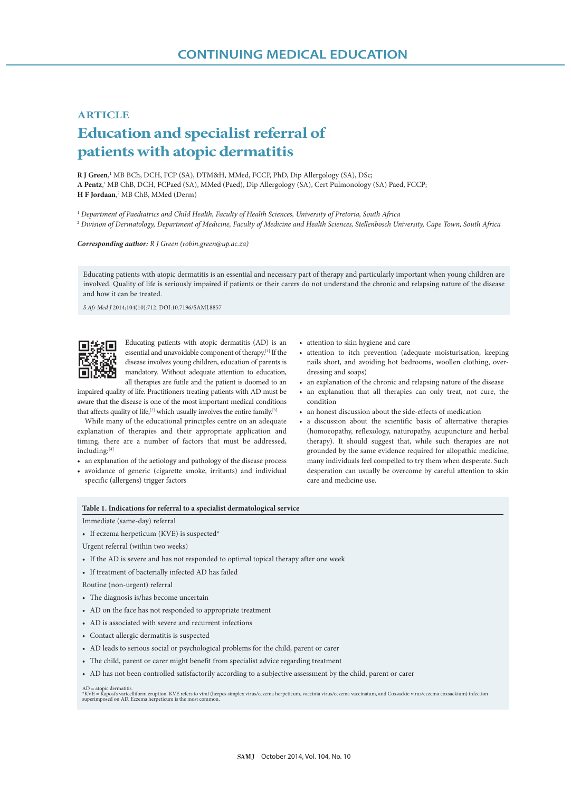## **ARTICLE Education and specialist referral of patients with atopic dermatitis**

**R J Green**, 1 MB BCh, DCH, FCP (SA), DTM&H, MMed, FCCP, PhD, Dip Allergology (SA), DSc; A Pentz,<sup>1</sup> MB ChB, DCH, FCPaed (SA), MMed (Paed), Dip Allergology (SA), Cert Pulmonology (SA) Paed, FCCP; **H F Jordaan**, <sup>2</sup> MB ChB, MMed (Derm)

<sup>1</sup> *Department of Paediatrics and Child Health, Faculty of Health Sciences, University of Pretoria, South Africa*

<sup>2</sup> *Division of Dermatology, Department of Medicine, Faculty of Medicine and Health Sciences, Stellenbosch University, Cape Town, South Africa*

*Corresponding author: R J Green (robin.green@up.ac.za)*

Educating patients with atopic dermatitis is an essential and necessary part of therapy and particularly important when young children are involved. Quality of life is seriously impaired if patients or their carers do not understand the chronic and relapsing nature of the disease and how it can be treated.

*S Afr Med J* 2014;104(10):712. DOI:10.7196/SAMJ.8857



Educating patients with atopic dermatitis (AD) is an essential and unavoidable component of therapy.[1] If the disease involves young children, education of parents is mandatory. Without adequate attention to education, all therapies are futile and the patient is doomed to an

impaired quality of life. Practitioners treating patients with AD must be aware that the disease is one of the most important medical conditions that affects quality of life,<sup>[2]</sup> which usually involves the entire family.<sup>[3]</sup>

While many of the educational principles centre on an adequate explanation of therapies and their appropriate application and timing, there are a number of factors that must be addressed, including:[4]

- an explanation of the aetiology and pathology of the disease process • avoidance of generic (cigarette smoke, irritants) and individual
- specific (allergens) trigger factors
- attention to skin hygiene and care
- attention to itch prevention (adequate moisturisation, keeping nails short, and avoiding hot bedrooms, woollen clothing, overdressing and soaps)
- an explanation of the chronic and relapsing nature of the disease
- an explanation that all therapies can only treat, not cure, the condition
- an honest discussion about the side-effects of medication
- a discussion about the scientific basis of alternative therapies (homoeopathy, reflexology, naturopathy, acupuncture and herbal therapy). It should suggest that, while such therapies are not grounded by the same evidence required for allopathic medicine, many individuals feel compelled to try them when desperate. Such desperation can usually be overcome by careful attention to skin care and medicine use.

## **Table 1. Indications for referral to a specialist dermatological service**

## Immediate (same-day) referral

- If eczema herpeticum (KVE) is suspected\*
- Urgent referral (within two weeks)
- If the AD is severe and has not responded to optimal topical therapy after one week
- If treatment of bacterially infected AD has failed

Routine (non-urgent) referral

- The diagnosis is/has become uncertain
- AD on the face has not responded to appropriate treatment
- AD is associated with severe and recurrent infections
- Contact allergic dermatitis is suspected
- AD leads to serious social or psychological problems for the child, parent or carer
- The child, parent or carer might benefit from specialist advice regarding treatment
- AD has not been controlled satisfactorily according to a subjective assessment by the child, parent or carer

AD = atopic dermatitis.<br>\*KVE = Kaposis varicelliform eruption. KVE refers to viral (herpes simplex virus/eczema herpeticum, vaccinia virus/eczema vaccinatum, and Coxsackie virus/eczema coxsackium) infection<br>superimposed on